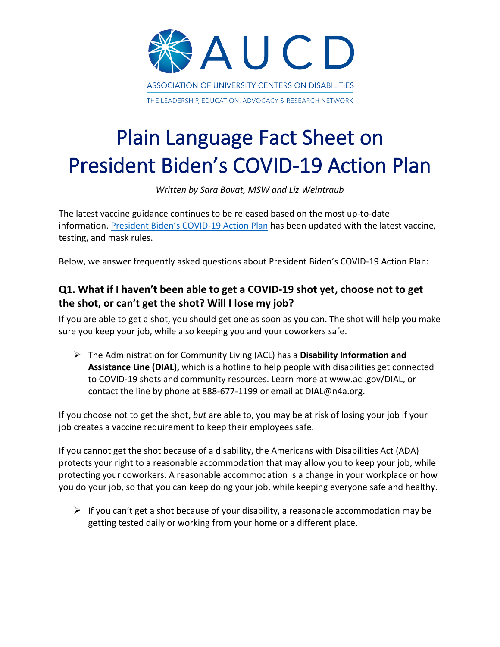

# Plain Language Fact Sheet on President Biden's COVID-19 Action Plan

*Written by Sara Bovat, MSW and Liz Weintraub*

The latest vaccine guidance continues to be released based on the most up-to-date information[. President Biden's COVID-19 Action Plan](https://www.whitehouse.gov/covidplan/#schools) has been updated with the latest vaccine, testing, and mask rules.

Below, we answer frequently asked questions about President Biden's COVID-19 Action Plan:

### **Q1. What if I haven't been able to get a COVID-19 shot yet, choose not to get the shot, or can't get the shot? Will I lose my job?**

If you are able to get a shot, you should get one as soon as you can. The shot will help you make sure you keep your job, while also keeping you and your coworkers safe.

 The Administration for Community Living (ACL) has a **Disability Information and Assistance Line (DIAL),** which is a hotline to help people with disabilities get connected to COVID-19 shots and community resources. Learn more at www.acl.gov/DIAL, or contact the line by phone at 888-677-1199 or email at DIAL@n4a.org.

If you choose not to get the shot, *but* are able to, you may be at risk of losing your job if your job creates a vaccine requirement to keep their employees safe.

If you cannot get the shot because of a disability, the Americans with Disabilities Act (ADA) protects your right to a reasonable accommodation that may allow you to keep your job, while protecting your coworkers. A reasonable accommodation is a change in your workplace or how you do your job, so that you can keep doing your job, while keeping everyone safe and healthy.

 $\triangleright$  If you can't get a shot because of your disability, a reasonable accommodation may be getting tested daily or working from your home or a different place.